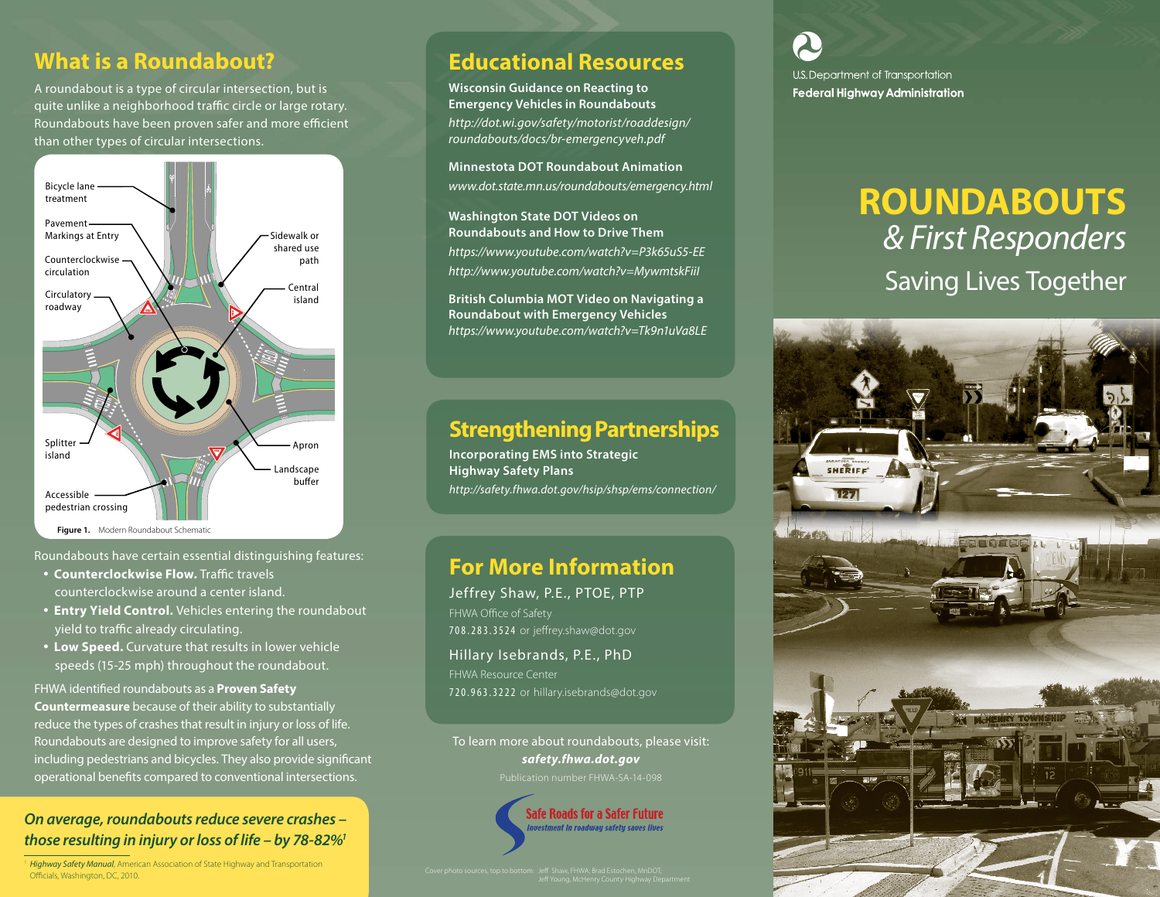### **What is a Roundabout?**

A roundabout is a type of circular intersection, but is quite unlike a neighborhood traffic circle or large rotary. Roundabouts have been proven safer and more efficient than other types of circular intersections.



Roundabouts have certain essential distinguishing features:

- **Counterclockwise Flow.** Traffic travels counterclockwise around a center island.
- **Entry Yield Control.** Vehicles entering the roundabout yield to traffic already circulating.
- **Low Speed.** Curvature that results in lower vehicle speeds (15-25 mph) throughout the roundabout.

FHWA identified roundabouts as a **Proven Safety Countermeasure** because of their ability to substantially reduce the types of crashes that result in injury or loss of life. Roundabouts are designed to improve safety for all users, including pedestrians and bicycles. They also provide significant operational benefits compared to conventional intersections.

#### *On average, roundabouts reduce severe crashes – those resulting in injury or loss of life – by 78-82%1*

<sup>1</sup> *Highway Safety Manual*, American Association of State Highway and Transportation Officials, Washington, DC, 2010.

# **Educational Resources**

**Wisconsin Guidance on Reacting to Emergency Vehicles in Roundabouts** *[http://dot.wi.gov/safety/motorist/roaddesign/](http://dot.wi.gov/safety/motorist/roaddesign/roundabouts/docs/br-emergencyveh.pdf) [roundabouts/docs/br-emergencyveh.pdf](http://dot.wi.gov/safety/motorist/roaddesign/roundabouts/docs/br-emergencyveh.pdf)*

**Minnestota DOT Roundabout Animation** *www.dot.state.mn.us/roundabouts/emergency.html*

**Washington State DOT Videos on Roundabouts and How to Drive Them** *https://www.youtube.com/watch?v=P3k65uS5-EE http://www.youtube.com/watch?v=MywmtskFiiI* 

**British Columbia MOT Video on Navigating a Roundabout with Emergency Vehicles** *https://www.youtube.com/watch?v=Tk9n1uVa8LE*

## **Strengthening Partnerships**

**Incorporating EMS into Strategic Highway Safety Plans** *http://safety.fhwa.dot.gov/hsip/shsp/ems/connection/*

#### **For More Information**

Jeffrey Shaw, P.E., PTOE, PTP FHWA Office of Safety 708.283.3524 or jeffrey.shaw@dot.gov

Hillary Isebrands, P.E., PhD FHWA Resource Center 720.963.3222 or hillary.isebrands@dot.gov

To learn more about roundabouts, please visit: *safety.fhwa.dot.gov*



U.S. Department of Transportation **Federal Highway Administration** 

# **ROUNDABOUTS** *& First Responders* Saving Lives Together